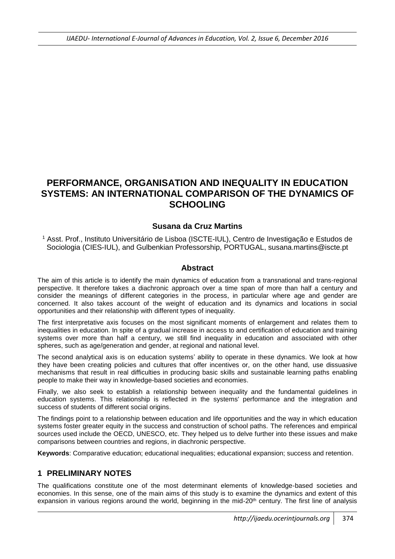# **PERFORMANCE, ORGANISATION AND INEQUALITY IN EDUCATION SYSTEMS: AN INTERNATIONAL COMPARISON OF THE DYNAMICS OF SCHOOLING**

#### **Susana da Cruz Martins**

<sup>1</sup> Asst. Prof., Instituto Universitário de Lisboa (ISCTE-IUL), Centro de Investigação e Estudos de Sociologia (CIES-IUL), and Gulbenkian Professorship, PORTUGAL, susana.martins@iscte.pt

#### **Abstract**

The aim of this article is to identify the main dynamics of education from a transnational and trans-regional perspective. It therefore takes a diachronic approach over a time span of more than half a century and consider the meanings of different categories in the process, in particular where age and gender are concerned. It also takes account of the weight of education and its dynamics and locations in social opportunities and their relationship with different types of inequality.

The first interpretative axis focuses on the most significant moments of enlargement and relates them to inequalities in education. In spite of a gradual increase in access to and certification of education and training systems over more than half a century, we still find inequality in education and associated with other spheres, such as age/generation and gender, at regional and national level.

The second analytical axis is on education systems' ability to operate in these dynamics. We look at how they have been creating policies and cultures that offer incentives or, on the other hand, use dissuasive mechanisms that result in real difficulties in producing basic skills and sustainable learning paths enabling people to make their way in knowledge-based societies and economies.

Finally, we also seek to establish a relationship between inequality and the fundamental guidelines in education systems. This relationship is reflected in the systems' performance and the integration and success of students of different social origins.

The findings point to a relationship between education and life opportunities and the way in which education systems foster greater equity in the success and construction of school paths. The references and empirical sources used include the OECD, UNESCO, etc. They helped us to delve further into these issues and make comparisons between countries and regions, in diachronic perspective.

**Keywords**: Comparative education; educational inequalities; educational expansion; success and retention.

#### **1 PRELIMINARY NOTES**

The qualifications constitute one of the most determinant elements of knowledge-based societies and economies. In this sense, one of the main aims of this study is to examine the dynamics and extent of this expansion in various regions around the world, beginning in the mid-20<sup>th</sup> century. The first line of analysis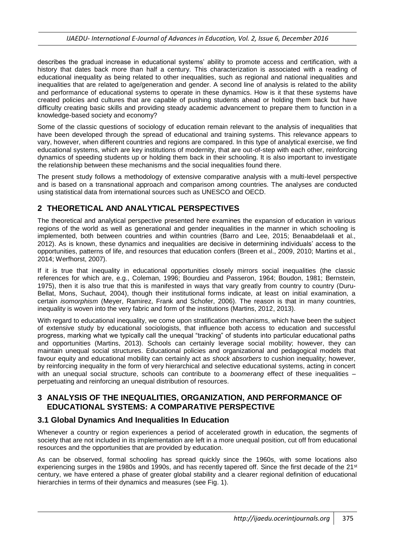describes the gradual increase in educational systems' ability to promote access and certification, with a history that dates back more than half a century. This characterization is associated with a reading of educational inequality as being related to other inequalities, such as regional and national inequalities and inequalities that are related to age/generation and gender. A second line of analysis is related to the ability and performance of educational systems to operate in these dynamics. How is it that these systems have created policies and cultures that are capable of pushing students ahead or holding them back but have difficulty creating basic skills and providing steady academic advancement to prepare them to function in a knowledge-based society and economy?

Some of the classic questions of sociology of education remain relevant to the analysis of inequalities that have been developed through the spread of educational and training systems. This relevance appears to vary, however, when different countries and regions are compared. In this type of analytical exercise, we find educational systems, which are key institutions of modernity, that are out-of-step with each other, reinforcing dynamics of speeding students up or holding them back in their schooling. It is also important to investigate the relationship between these mechanisms and the social inequalities found there.

The present study follows a methodology of extensive comparative analysis with a multi-level perspective and is based on a transnational approach and comparison among countries. The analyses are conducted using statistical data from international sources such as UNESCO and OECD.

# **2 THEORETICAL AND ANALYTICAL PERSPECTIVES**

The theoretical and analytical perspective presented here examines the expansion of education in various regions of the world as well as generational and gender inequalities in the manner in which schooling is implemented, both between countries and within countries (Barro and Lee, 2015; Benaabdelaali et al., 2012). As is known, these dynamics and inequalities are decisive in determining individuals' access to the opportunities, patterns of life, and resources that education confers (Breen et al., 2009, 2010; Martins et al., 2014; Werfhorst, 2007).

If it is true that inequality in educational opportunities closely mirrors social inequalities (the classic references for which are, e.g., Coleman, 1996; Bourdieu and Passeron, 1964; Boudon, 1981; Bernstein, 1975), then it is also true that this is manifested in ways that vary greatly from country to country (Duru-Bellat, Mons, Suchaut, 2004), though their institutional forms indicate, at least on initial examination, a certain *isomorphism* (Meyer, Ramirez, Frank and Schofer, 2006). The reason is that in many countries, inequality is woven into the very fabric and form of the institutions (Martins, 2012, 2013).

With regard to educational inequality, we come upon stratification mechanisms, which have been the subject of extensive study by educational sociologists, that influence both access to education and successful progress, marking what we typically call the unequal "tracking" of students into particular educational paths and opportunities (Martins, 2013). Schools can certainly leverage social mobility; however, they can maintain unequal social structures. Educational policies and organizational and pedagogical models that favour equity and educational mobility can certainly act as *shock absorbers* to cushion inequality; however, by reinforcing inequality in the form of very hierarchical and selective educational systems, acting in concert with an unequal social structure, schools can contribute to a *boomerang* effect of these inequalities – perpetuating and reinforcing an unequal distribution of resources.

### **3 ANALYSIS OF THE INEQUALITIES, ORGANIZATION, AND PERFORMANCE OF EDUCATIONAL SYSTEMS: A COMPARATIVE PERSPECTIVE**

#### **3.1 Global Dynamics And Inequalities In Education**

Whenever a country or region experiences a period of accelerated growth in education, the segments of society that are not included in its implementation are left in a more unequal position, cut off from educational resources and the opportunities that are provided by education.

As can be observed, formal schooling has spread quickly since the 1960s, with some locations also experiencing surges in the 1980s and 1990s, and has recently tapered off. Since the first decade of the 21st century, we have entered a phase of greater global stability and a clearer regional definition of educational hierarchies in terms of their dynamics and measures (see Fig. 1).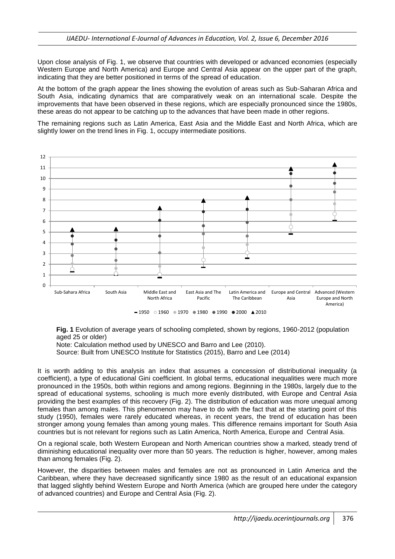Upon close analysis of Fig. 1, we observe that countries with developed or advanced economies (especially Western Europe and North America) and Europe and Central Asia appear on the upper part of the graph, indicating that they are better positioned in terms of the spread of education.

At the bottom of the graph appear the lines showing the evolution of areas such as Sub-Saharan Africa and South Asia, indicating dynamics that are comparatively weak on an international scale. Despite the improvements that have been observed in these regions, which are especially pronounced since the 1980s, these areas do not appear to be catching up to the advances that have been made in other regions.

The remaining regions such as Latin America, East Asia and the Middle East and North Africa, which are slightly lower on the trend lines in Fig. 1, occupy intermediate positions.



**Fig. 1** Evolution of average years of schooling completed, shown by regions, 1960-2012 (population aged 25 or older)

Note: Calculation method used by UNESCO and Barro and Lee (2010).

Source: Built from UNESCO Institute for Statistics (2015), Barro and Lee (2014)

It is worth adding to this analysis an index that assumes a concession of distributional inequality (a coefficient), a type of educational Gini coefficient. In global terms, educational inequalities were much more pronounced in the 1950s, both within regions and among regions. Beginning in the 1980s, largely due to the spread of educational systems, schooling is much more evenly distributed, with Europe and Central Asia providing the best examples of this recovery (Fig. 2). The distribution of education was more unequal among females than among males. This phenomenon may have to do with the fact that at the starting point of this study (1950), females were rarely educated whereas, in recent years, the trend of education has been stronger among young females than among young males. This difference remains important for South Asia countries but is not relevant for regions such as Latin America, North America, Europe and Central Asia.

On a regional scale, both Western European and North American countries show a marked, steady trend of diminishing educational inequality over more than 50 years. The reduction is higher, however, among males than among females (Fig. 2).

However, the disparities between males and females are not as pronounced in Latin America and the Caribbean, where they have decreased significantly since 1980 as the result of an educational expansion that lagged slightly behind Western Europe and North America (which are grouped here under the category of advanced countries) and Europe and Central Asia (Fig. 2).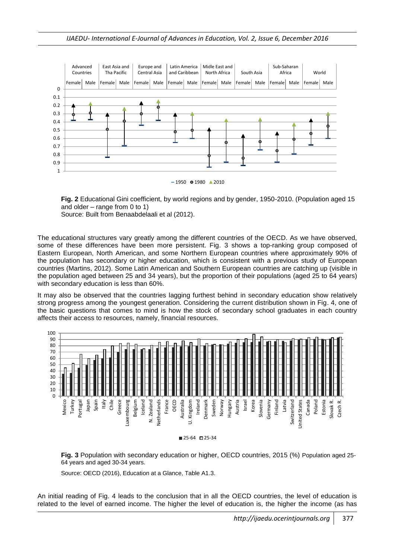

**Fig. 2** Educational Gini coefficient, by world regions and by gender, 1950-2010. (Population aged 15 and older – range from 0 to 1)

Source: Built from Benaabdelaali et al (2012).

The educational structures vary greatly among the different countries of the OECD. As we have observed, some of these differences have been more persistent. Fig. 3 shows a top-ranking group composed of Eastern European, North American, and some Northern European countries where approximately 90% of the population has secondary or higher education, which is consistent with a previous study of European countries (Martins, 2012). Some Latin American and Southern European countries are catching up (visible in the population aged between 25 and 34 years), but the proportion of their populations (aged 25 to 64 years) with secondary education is less than 60%.

It may also be observed that the countries lagging furthest behind in secondary education show relatively strong progress among the youngest generation. Considering the current distribution shown in Fig. 4, one of the basic questions that comes to mind is how the stock of secondary school graduates in each country affects their access to resources, namely, financial resources.





Source: OECD (2016), Education at a Glance, Table A1.3.

An initial reading of Fig. 4 leads to the conclusion that in all the OECD countries, the level of education is related to the level of earned income. The higher the level of education is, the higher the income (as has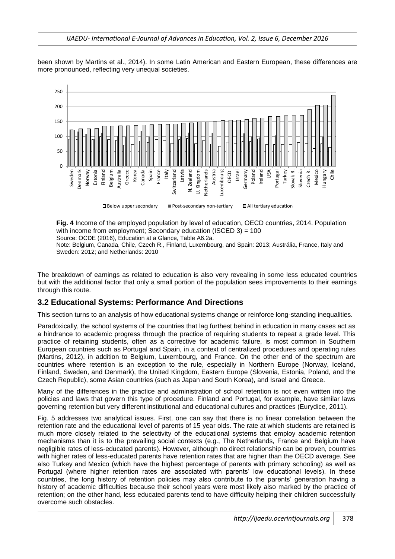been shown by Martins et al., 2014). In some Latin American and Eastern European, these differences are more pronounced, reflecting very unequal societies.



**Fig. 4** Income of the employed population by level of education, OECD countries, 2014. Population with income from employment: Secondary education (ISCED 3) = 100 Source: OCDE (2016), Education at a Glance, Table A6.2a.

Note: Belgium, Canada, Chile, Czech R., Finland, Luxembourg, and Spain: 2013; Austrália, France, Italy and Sweden: 2012; and Netherlands: 2010

The breakdown of earnings as related to education is also very revealing in some less educated countries but with the additional factor that only a small portion of the population sees improvements to their earnings through this route.

#### **3.2 Educational Systems: Performance And Directions**

This section turns to an analysis of how educational systems change or reinforce long-standing inequalities.

Paradoxically, the school systems of the countries that lag furthest behind in education in many cases act as a hindrance to academic progress through the practice of requiring students to repeat a grade level. This practice of retaining students, often as a corrective for academic failure, is most common in Southern European countries such as Portugal and Spain, in a context of centralized procedures and operating rules (Martins, 2012), in addition to Belgium, Luxembourg, and France. On the other end of the spectrum are countries where retention is an exception to the rule, especially in Northern Europe (Norway, Iceland, Finland, Sweden, and Denmark), the United Kingdom, Eastern Europe (Slovenia, Estonia, Poland, and the Czech Republic), some Asian countries (such as Japan and South Korea), and Israel and Greece.

Many of the differences in the practice and administration of school retention is not even written into the policies and laws that govern this type of procedure. Finland and Portugal, for example, have similar laws governing retention but very different institutional and educational cultures and practices (Eurydice, 2011).

Fig. 5 addresses two analytical issues. First, one can say that there is no linear correlation between the retention rate and the educational level of parents of 15 year olds. The rate at which students are retained is much more closely related to the selectivity of the educational systems that employ academic retention mechanisms than it is to the prevailing social contexts (e.g., The Netherlands, France and Belgium have negligible rates of less-educated parents). However, although no direct relationship can be proven, countries with higher rates of less-educated parents have retention rates that are higher than the OECD average. See also Turkey and Mexico (which have the highest percentage of parents with primary schooling) as well as Portugal (where higher retention rates are associated with parents' low educational levels). In these countries, the long history of retention policies may also contribute to the parents' generation having a history of academic difficulties because their school years were most likely also marked by the practice of retention; on the other hand, less educated parents tend to have difficulty helping their children successfully overcome such obstacles.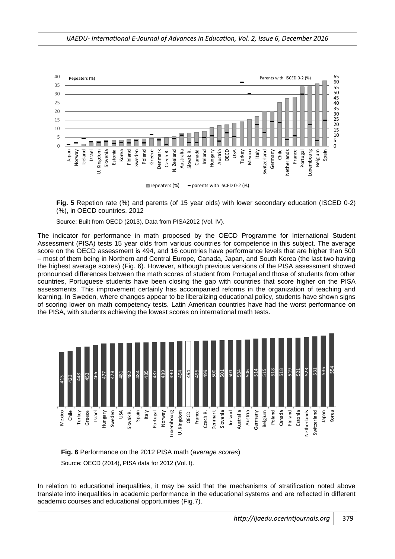

**Fig. 5** Repetion rate (%) and parents (of 15 year olds) with lower secondary education (ISCED 0-2) (%), in OECD countries, 2012

Source: Built from OECD (2013), Data from PISA2012 (Vol. IV).

The indicator for performance in math proposed by the OECD Programme for International Student Assessment (PISA) tests 15 year olds from various countries for competence in this subject. The average score on the OECD assessment is 494, and 16 countries have performance levels that are higher than 500 – most of them being in Northern and Central Europe, Canada, Japan, and South Korea (the last two having the highest average scores) (Fig. 6). However, although previous versions of the PISA assessment showed pronounced differences between the math scores of student from Portugal and those of students from other countries, Portuguese students have been closing the gap with countries that score higher on the PISA assessments. This improvement certainly has accompanied reforms in the organization of teaching and learning. In Sweden, where changes appear to be liberalizing educational policy, students have shown signs of scoring lower on math competency tests. Latin American countries have had the worst performance on the PISA, with students achieving the lowest scores on international math tests.





In relation to educational inequalities, it may be said that the mechanisms of stratification noted above translate into inequalities in academic performance in the educational systems and are reflected in different academic courses and educational opportunities (Fig.7).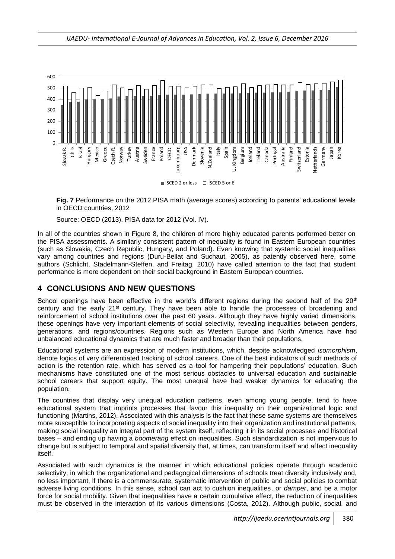

**Fig. 7** Performance on the 2012 PISA math (average scores) according to parents' educational levels in OECD countries, 2012

Source: OECD (2013), PISA data for 2012 (Vol. IV).

In all of the countries shown in Figure 8, the children of more highly educated parents performed better on the PISA assessments. A similarly consistent pattern of inequality is found in Eastern European countries (such as Slovakia, Czech Republic, Hungary, and Poland). Even knowing that systemic social inequalities vary among countries and regions (Duru-Bellat and Suchaut, 2005), as patently observed here, some authors (Schlicht, Stadelmann-Steffen, and Freitag, 2010) have called attention to the fact that student performance is more dependent on their social background in Eastern European countries.

## **4 CONCLUSIONS AND NEW QUESTIONS**

School openings have been effective in the world's different regions during the second half of the 20<sup>th</sup> century and the early 21st century. They have been able to handle the processes of broadening and reinforcement of school institutions over the past 60 years. Although they have highly varied dimensions, these openings have very important elements of social selectivity, revealing inequalities between genders, generations, and regions/countries. Regions such as Western Europe and North America have had unbalanced educational dynamics that are much faster and broader than their populations.

Educational systems are an expression of modern institutions, which, despite acknowledged *isomorphism*, denote logics of very differentiated tracking of school careers. One of the best indicators of such methods of action is the retention rate, which has served as a tool for hampering their populations' education. Such mechanisms have constituted one of the most serious obstacles to universal education and sustainable school careers that support equity. The most unequal have had weaker dynamics for educating the population.

The countries that display very unequal education patterns, even among young people, tend to have educational system that imprints processes that favour this inequality on their organizational logic and functioning (Martins, 2012). Associated with this analysis is the fact that these same systems are themselves more susceptible to incorporating aspects of social inequality into their organization and institutional patterns, making social inequality an integral part of the system itself, reflecting it in its social processes and historical bases – and ending up having a *boomerang* effect on inequalities. Such standardization is not impervious to change but is subject to temporal and spatial diversity that, at times, can transform itself and affect inequality itself.

Associated with such dynamics is the manner in which educational policies operate through academic selectivity, in which the organizational and pedagogical dimensions of schools treat diversity inclusively and, no less important, if there is a commensurate, systematic intervention of public and social policies to combat adverse living conditions. In this sense, school can act to cushion inequalities, or *damper*, and be a motor force for social mobility. Given that inequalities have a certain cumulative effect, the reduction of inequalities must be observed in the interaction of its various dimensions (Costa, 2012). Although public, social, and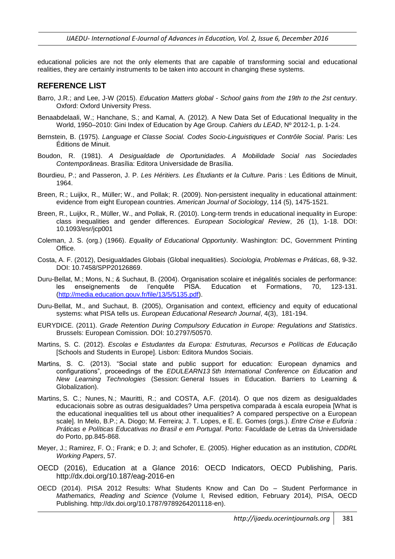educational policies are not the only elements that are capable of transforming social and educational realities, they are certainly instruments to be taken into account in changing these systems.

#### **REFERENCE LIST**

- Barro, J.R.; and Lee, J-W (2015). *Education Matters global - School gains from the 19th to the 2st century*. Oxford: Oxford University Press.
- Benaabdelaali, W.; Hanchane, S.; and Kamal, A. (2012). A New Data Set of Educational Inequality in the World, 1950–2010: Gini Index of Education by Age Group. *Cahiers du LEAD*, Nº 2012-1, p. 1-24.
- Bernstein, B. (1975). *Language et Classe Social. Codes Socio-Linguistiques et Contrôle Social*. Paris: Les Éditions de Minuit.
- Boudon, R. (1981). *A Desigualdade de Oportunidades. A Mobilidade Social nas Sociedades Contemporâneas*. Brasília: Editora Universidade de Brasília.
- Bourdieu, P.; and Passeron, J. P. *Les Héritiers. Les Étudiants et la Culture*. Paris : Les Éditions de Minuit, 1964.
- Breen, R.; Luijkx, R., Müller; W., and Pollak; R. (2009). Non-persistent inequality in educational attainment: evidence from eight European countries. *American Journal of Sociology*, 114 (5), 1475-1521.
- Breen, R., Luijkx, R., Müller, W., and Pollak, R. (2010). Long-term trends in educational inequality in Europe: class inequalities and gender differences. *European Sociological Review*, 26 (1), 1-18. DOI: 10.1093/esr/jcp001
- Coleman, J. S. (org.) (1966). *Equality of Educational Opportunity*. Washington: DC, Government Printing Office.
- Costa, A. F. (2012), Desigualdades Globais (Global inequalities). *Sociologia, Problemas e Práticas*, 68, 9-32. DOI: 10.7458/SPP20126869.
- Duru-Bellat, M.; Mons, N.; & Suchaut, B. (2004). Organisation scolaire et inégalités sociales de performance: les enseignements de l'enquête PISA. Education et Formations, 70, 123-131. [\(http://media.education.gouv.fr/file/13/5/5135.pdf\)](http://media.education.gouv.fr/file/13/5/5135.pdf).
- Duru-Bellat, M., and Suchaut, B. (2005), Organisation and context, efficiency and equity of educational systems: what PISA tells us. *European Educational Research Journal*, 4(3), 181-194.
- EURYDICE. (2011). *Grade Retention During Compulsory Education in Europe: Regulations and Statistics*. Brussels: European Comission. DOI: 10.2797/50570.
- Martins, S. C. (2012). *Escolas e Estudantes da Europa: Estruturas, Recursos e Políticas de Educação* [Schools and Students in Europe]. Lisbon: Editora Mundos Sociais.
- Martins, S. C. (2013). "Social state and public support for education: European dynamics and configurations", proceedings of the *EDULEARN13 5th International Conference on Education and New Learning Technologies* (Session: General Issues in Education. Barriers to Learning & Globalization).
- Martins, S. C.; Nunes, N.; Mauritti, R.; and COSTA, A.F. (2014). O que nos dizem as desigualdades educacionais sobre as outras desigualdades? Uma perspetiva comparada à escala europeia [What is the educational inequalities tell us about other inequalities? A compared perspective on a European scale]. In Melo, B.P.; A. Diogo; M. Ferreira; J. T. Lopes, e E. E. Gomes (orgs.). *Entre Crise e Euforia : Práticas e Políticas Educativas no Brasil e em Portugal*. Porto: Faculdade de Letras da Universidade do Porto, pp.845-868.
- Meyer, J.; Ramirez, F. O.; Frank; e D. J; and Schofer, E. (2005). Higher education as an institution, *CDDRL Working Papers*, 57.
- OECD (2016), Education at a Glance 2016: OECD Indicators, OECD Publishing, Paris. http://dx.doi.org/10.187/eag-2016-en
- OECD (2014). PISA 2012 Results: What Students Know and Can Do Student Performance in *Mathematics, Reading and Science* (Volume I, Revised edition, February 2014), PISA, OECD Publishing. http://dx.doi.org/10.1787/9789264201118-en).